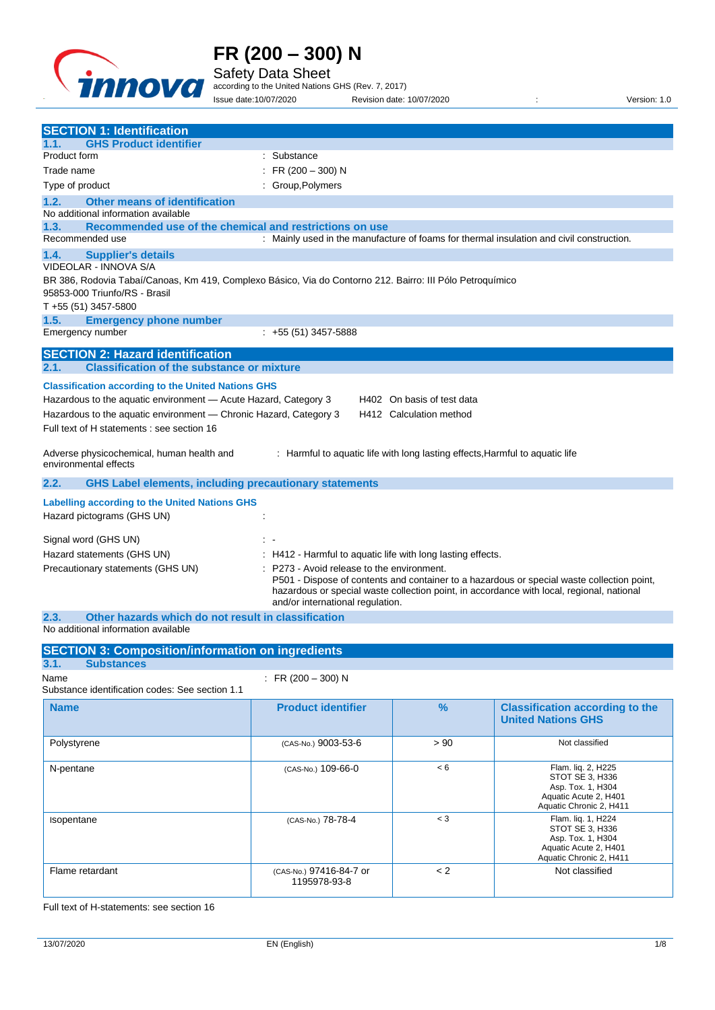

Safety Data Sheet

according to the United Nations GHS (Rev. 7, 2017) Issue date:10/07/2020 Revision date: 10/07/2020 : Version: 1.0

| <b>SECTION 1: Identification</b><br><b>GHS Product identifier</b><br>1.1.                                                                                                                                                                                                                                    |  |  |
|--------------------------------------------------------------------------------------------------------------------------------------------------------------------------------------------------------------------------------------------------------------------------------------------------------------|--|--|
| Product form<br>: Substance                                                                                                                                                                                                                                                                                  |  |  |
| : FR $(200 - 300)$ N<br>Trade name                                                                                                                                                                                                                                                                           |  |  |
| Type of product<br>: Group, Polymers                                                                                                                                                                                                                                                                         |  |  |
| 1.2.<br><b>Other means of identification</b>                                                                                                                                                                                                                                                                 |  |  |
| No additional information available                                                                                                                                                                                                                                                                          |  |  |
| Recommended use of the chemical and restrictions on use<br>1.3.                                                                                                                                                                                                                                              |  |  |
| Recommended use<br>: Mainly used in the manufacture of foams for thermal insulation and civil construction.                                                                                                                                                                                                  |  |  |
| <b>Supplier's details</b><br>1.4.                                                                                                                                                                                                                                                                            |  |  |
| VIDEOLAR - INNOVA S/A                                                                                                                                                                                                                                                                                        |  |  |
| BR 386, Rodovia Tabaí/Canoas, Km 419, Complexo Básico, Via do Contorno 212. Bairro: III Pólo Petroquímico                                                                                                                                                                                                    |  |  |
| 95853-000 Triunfo/RS - Brasil<br>$T + 55(51)$ 3457-5800                                                                                                                                                                                                                                                      |  |  |
| 1.5.<br><b>Emergency phone number</b>                                                                                                                                                                                                                                                                        |  |  |
| $: +55(51)3457-5888$<br>Emergency number                                                                                                                                                                                                                                                                     |  |  |
|                                                                                                                                                                                                                                                                                                              |  |  |
| <b>SECTION 2: Hazard identification</b>                                                                                                                                                                                                                                                                      |  |  |
| <b>Classification of the substance or mixture</b><br>2.1.                                                                                                                                                                                                                                                    |  |  |
| <b>Classification according to the United Nations GHS</b>                                                                                                                                                                                                                                                    |  |  |
| Hazardous to the aquatic environment - Acute Hazard, Category 3<br>H402 On basis of test data                                                                                                                                                                                                                |  |  |
| Hazardous to the aquatic environment - Chronic Hazard, Category 3<br>H412 Calculation method                                                                                                                                                                                                                 |  |  |
| Full text of H statements : see section 16                                                                                                                                                                                                                                                                   |  |  |
|                                                                                                                                                                                                                                                                                                              |  |  |
| : Harmful to aquatic life with long lasting effects, Harmful to aquatic life<br>Adverse physicochemical, human health and<br>environmental effects                                                                                                                                                           |  |  |
|                                                                                                                                                                                                                                                                                                              |  |  |
| 2.2.<br><b>GHS Label elements, including precautionary statements</b>                                                                                                                                                                                                                                        |  |  |
| <b>Labelling according to the United Nations GHS</b>                                                                                                                                                                                                                                                         |  |  |
| Hazard pictograms (GHS UN)                                                                                                                                                                                                                                                                                   |  |  |
|                                                                                                                                                                                                                                                                                                              |  |  |
| Signal word (GHS UN)                                                                                                                                                                                                                                                                                         |  |  |
| Hazard statements (GHS UN)<br>: H412 - Harmful to aquatic life with long lasting effects.                                                                                                                                                                                                                    |  |  |
| P273 - Avoid release to the environment.<br>Precautionary statements (GHS UN)<br>P501 - Dispose of contents and container to a hazardous or special waste collection point,<br>hazardous or special waste collection point, in accordance with local, regional, national<br>and/or international regulation. |  |  |
| 2.3.<br>Other hazards which do not result in classification                                                                                                                                                                                                                                                  |  |  |

No additional information available

| <b>SECTION 3: Composition/information on ingredients</b>                      |                                         |               |                                                                                                                |
|-------------------------------------------------------------------------------|-----------------------------------------|---------------|----------------------------------------------------------------------------------------------------------------|
| 3.1.<br><b>Substances</b>                                                     |                                         |               |                                                                                                                |
| : FR (200 - 300) N<br>Name<br>Substance identification codes: See section 1.1 |                                         |               |                                                                                                                |
| <b>Name</b>                                                                   | <b>Product identifier</b>               | $\frac{9}{6}$ | <b>Classification according to the</b><br><b>United Nations GHS</b>                                            |
| Polystyrene                                                                   | (CAS-No.) 9003-53-6                     | > 90          | Not classified                                                                                                 |
| N-pentane                                                                     | (CAS-No.) 109-66-0                      | < 6           | Flam. liq. 2, H225<br>STOT SE 3, H336<br>Asp. Tox. 1, H304<br>Aquatic Acute 2, H401<br>Aquatic Chronic 2, H411 |
| Isopentane                                                                    | (CAS-No.) 78-78-4                       | $<$ 3         | Flam. liq. 1, H224<br>STOT SE 3, H336<br>Asp. Tox. 1, H304<br>Aquatic Acute 2, H401<br>Aquatic Chronic 2, H411 |
| Flame retardant                                                               | (CAS-No.) 97416-84-7 or<br>1195978-93-8 | < 2           | Not classified                                                                                                 |

Full text of H-statements: see section 16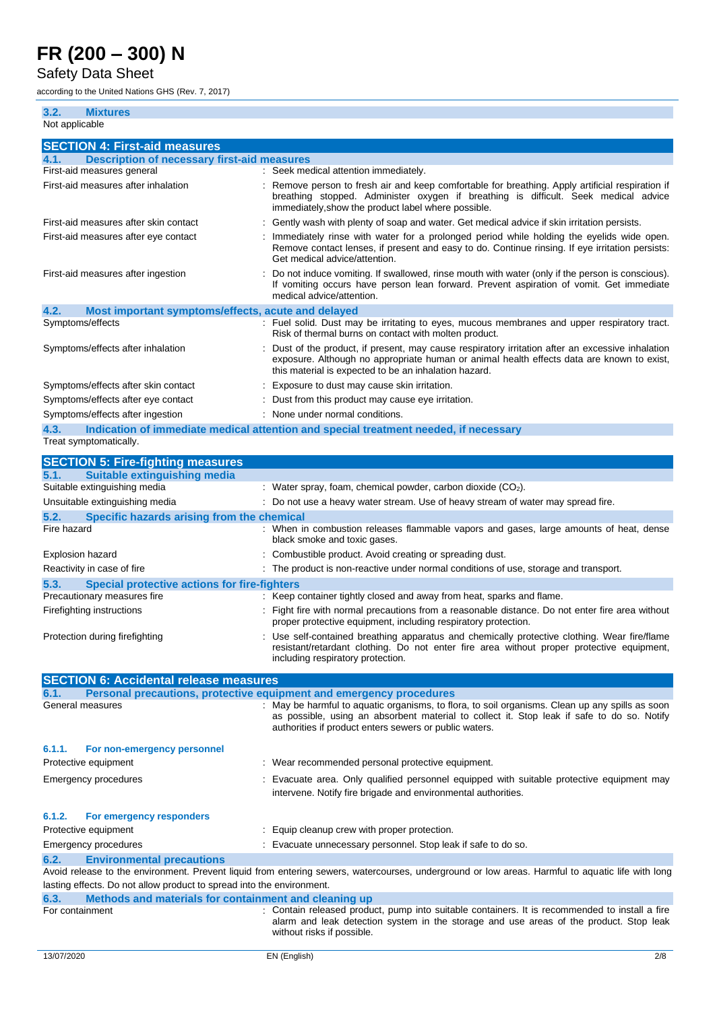#### Safety Data Sheet

according to the United Nations GHS (Rev. 7, 2017)

| <b>Mixtures</b><br>3.2.                                    |                                                                                                                                                                                                                                                       |
|------------------------------------------------------------|-------------------------------------------------------------------------------------------------------------------------------------------------------------------------------------------------------------------------------------------------------|
| Not applicable                                             |                                                                                                                                                                                                                                                       |
| <b>SECTION 4: First-aid measures</b>                       |                                                                                                                                                                                                                                                       |
| <b>Description of necessary first-aid measures</b><br>4.1. |                                                                                                                                                                                                                                                       |
| First-aid measures general                                 | : Seek medical attention immediately.                                                                                                                                                                                                                 |
| First-aid measures after inhalation                        | Remove person to fresh air and keep comfortable for breathing. Apply artificial respiration if<br>breathing stopped. Administer oxygen if breathing is difficult. Seek medical advice<br>immediately, show the product label where possible.          |
| First-aid measures after skin contact                      | : Gently wash with plenty of soap and water. Get medical advice if skin irritation persists.                                                                                                                                                          |
| First-aid measures after eye contact                       | Immediately rinse with water for a prolonged period while holding the eyelids wide open.<br>Remove contact lenses, if present and easy to do. Continue rinsing. If eye irritation persists:<br>Get medical advice/attention.                          |
| First-aid measures after ingestion                         | Do not induce vomiting. If swallowed, rinse mouth with water (only if the person is conscious).<br>If vomiting occurs have person lean forward. Prevent aspiration of vomit. Get immediate<br>medical advice/attention.                               |
| 4.2.<br>Most important symptoms/effects, acute and delayed |                                                                                                                                                                                                                                                       |
| Symptoms/effects                                           | : Fuel solid. Dust may be irritating to eyes, mucous membranes and upper respiratory tract.<br>Risk of thermal burns on contact with molten product.                                                                                                  |
| Symptoms/effects after inhalation                          | Dust of the product, if present, may cause respiratory irritation after an excessive inhalation<br>exposure. Although no appropriate human or animal health effects data are known to exist,<br>this material is expected to be an inhalation hazard. |
| Symptoms/effects after skin contact                        | : Exposure to dust may cause skin irritation.                                                                                                                                                                                                         |
| Symptoms/effects after eye contact                         | : Dust from this product may cause eye irritation.                                                                                                                                                                                                    |
| Symptoms/effects after ingestion                           | : None under normal conditions.                                                                                                                                                                                                                       |
| 4.3.                                                       | Indication of immediate medical attention and special treatment needed, if necessary                                                                                                                                                                  |
| Treat symptomatically.                                     |                                                                                                                                                                                                                                                       |
| <b>SECTION 5: Fire-fighting measures</b>                   |                                                                                                                                                                                                                                                       |
| 5.1.<br><b>Suitable extinguishing media</b>                |                                                                                                                                                                                                                                                       |
| Suitable extinguishing media                               | : Water spray, foam, chemical powder, carbon dioxide $(CO2)$ .                                                                                                                                                                                        |
| Unsuitable extinguishing media                             | : Do not use a heavy water stream. Use of heavy stream of water may spread fire.                                                                                                                                                                      |
| 5.2.<br>Specific hazards arising from the chemical         |                                                                                                                                                                                                                                                       |
| Fire hazard                                                | : When in combustion releases flammable vapors and gases, large amounts of heat, dense<br>black smoke and toxic gases.                                                                                                                                |

| Explosion hazard                                     | : Combustible product. Avoid creating or spreading dust.                             |  |
|------------------------------------------------------|--------------------------------------------------------------------------------------|--|
| Reactivity in case of fire                           | : The product is non-reactive under normal conditions of use, storage and transport. |  |
| Special protective actions for fire-fighters<br>5.3. |                                                                                      |  |
| Precautionary measures fire                          | : Keep container tightly closed and away from heat, sparks and flame.                |  |

| Firefighting instructions      | : Fight fire with normal precautions from a reasonable distance. Do not enter fire area without |  |
|--------------------------------|-------------------------------------------------------------------------------------------------|--|
|                                | proper protective equipment, including respiratory protection.                                  |  |
| Protection during firefighting | : Use self-contained breathing apparatus and chemically protective clothing. Wear fire/flame    |  |

resistant/retardant clothing. Do not enter fire area without proper protective equipment,

|                 |                                                                       | including respiratory protection.                                                                                                                                                                                                                       |
|-----------------|-----------------------------------------------------------------------|---------------------------------------------------------------------------------------------------------------------------------------------------------------------------------------------------------------------------------------------------------|
|                 | <b>SECTION 6: Accidental release measures</b>                         |                                                                                                                                                                                                                                                         |
| 6.1.            |                                                                       | Personal precautions, protective equipment and emergency procedures                                                                                                                                                                                     |
|                 | General measures                                                      | : May be harmful to aquatic organisms, to flora, to soil organisms. Clean up any spills as soon<br>as possible, using an absorbent material to collect it. Stop leak if safe to do so. Notify<br>authorities if product enters sewers or public waters. |
| 6.1.1.          | For non-emergency personnel                                           |                                                                                                                                                                                                                                                         |
|                 | Protective equipment                                                  | : Wear recommended personal protective equipment.                                                                                                                                                                                                       |
|                 | Emergency procedures                                                  | : Evacuate area. Only qualified personnel equipped with suitable protective equipment may<br>intervene. Notify fire brigade and environmental authorities.                                                                                              |
| 6.1.2.          | <b>For emergency responders</b>                                       |                                                                                                                                                                                                                                                         |
|                 | Protective equipment                                                  | : Equip cleanup crew with proper protection.                                                                                                                                                                                                            |
|                 | Emergency procedures                                                  | : Evacuate unnecessary personnel. Stop leak if safe to do so.                                                                                                                                                                                           |
| 6.2.            | <b>Environmental precautions</b>                                      |                                                                                                                                                                                                                                                         |
|                 |                                                                       | Avoid release to the environment. Prevent liquid from entering sewers, watercourses, underground or low areas. Harmful to aquatic life with long                                                                                                        |
|                 | lasting effects. Do not allow product to spread into the environment. |                                                                                                                                                                                                                                                         |
| 6.3.            | Methods and materials for containment and cleaning up                 |                                                                                                                                                                                                                                                         |
| For containment |                                                                       | : Contain released product, pump into suitable containers. It is recommended to install a fire<br>alarm and leak detection system in the storage and use areas of the product. Stop leak                                                                |

without risks if possible.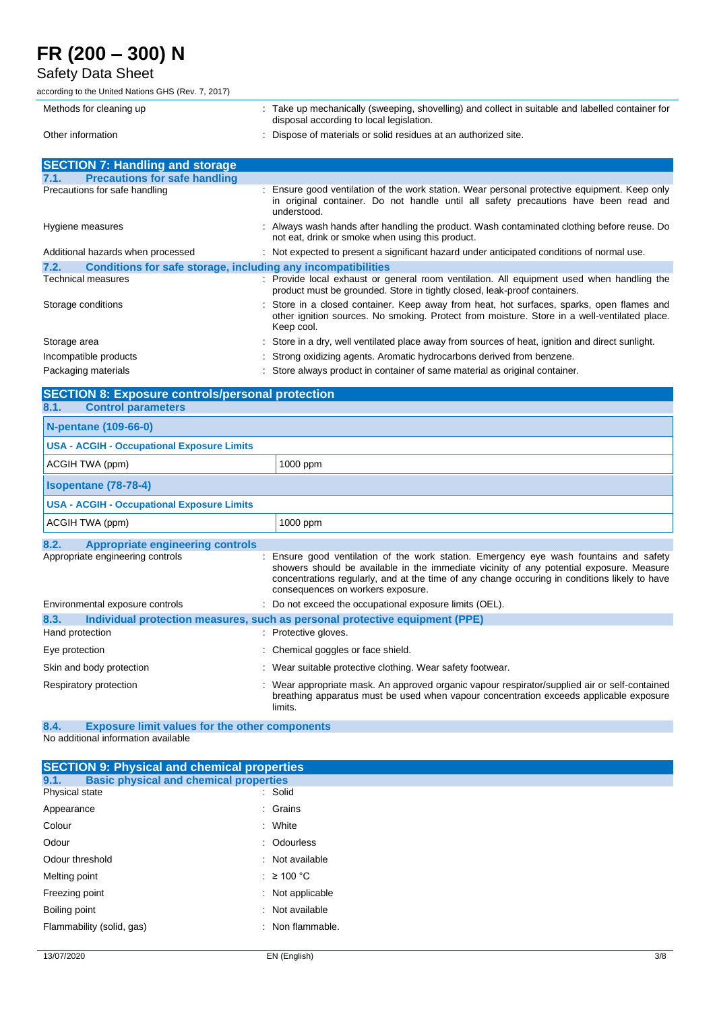#### Safety Data Sheet

according to the United Nations GHS (Rev. 7, 2017)

| Methods for cleaning up                                              | Take up mechanically (sweeping, shovelling) and collect in suitable and labelled container for<br>disposal according to local legislation.                                                              |  |
|----------------------------------------------------------------------|---------------------------------------------------------------------------------------------------------------------------------------------------------------------------------------------------------|--|
| Other information                                                    | : Dispose of materials or solid residues at an authorized site.                                                                                                                                         |  |
| <b>SECTION 7: Handling and storage</b>                               |                                                                                                                                                                                                         |  |
| <b>Precautions for safe handling</b><br>7.1.                         |                                                                                                                                                                                                         |  |
| Precautions for safe handling                                        | : Ensure good ventilation of the work station. Wear personal protective equipment. Keep only<br>in original container. Do not handle until all safety precautions have been read and<br>understood.     |  |
| Hygiene measures                                                     | : Always wash hands after handling the product. Wash contaminated clothing before reuse. Do<br>not eat, drink or smoke when using this product.                                                         |  |
| Additional hazards when processed                                    | : Not expected to present a significant hazard under anticipated conditions of normal use.                                                                                                              |  |
| Conditions for safe storage, including any incompatibilities<br>7.2. |                                                                                                                                                                                                         |  |
| Technical measures                                                   | : Provide local exhaust or general room ventilation. All equipment used when handling the<br>product must be grounded. Store in tightly closed, leak-proof containers.                                  |  |
| Storage conditions                                                   | : Store in a closed container. Keep away from heat, hot surfaces, sparks, open flames and<br>other ignition sources. No smoking. Protect from moisture. Store in a well-ventilated place.<br>Keep cool. |  |
| Storage area                                                         | : Store in a dry, well ventilated place away from sources of heat, ignition and direct sunlight.                                                                                                        |  |
| Incompatible products                                                | : Strong oxidizing agents. Aromatic hydrocarbons derived from benzene.                                                                                                                                  |  |
| Packaging materials                                                  | : Store always product in container of same material as original container.                                                                                                                             |  |

#### **SECTION 8: Exposure controls/personal protection 8.1. Control parameters**

| <u>.</u><br><b>POTITION NATURAL PROPERTY</b>      |                                                                                                                                                                                                                                                                                                                        |
|---------------------------------------------------|------------------------------------------------------------------------------------------------------------------------------------------------------------------------------------------------------------------------------------------------------------------------------------------------------------------------|
| N-pentane (109-66-0)                              |                                                                                                                                                                                                                                                                                                                        |
| <b>USA - ACGIH - Occupational Exposure Limits</b> |                                                                                                                                                                                                                                                                                                                        |
| ACGIH TWA (ppm)                                   | 1000 ppm                                                                                                                                                                                                                                                                                                               |
| <b>Isopentane (78-78-4)</b>                       |                                                                                                                                                                                                                                                                                                                        |
| <b>USA - ACGIH - Occupational Exposure Limits</b> |                                                                                                                                                                                                                                                                                                                        |
| ACGIH TWA (ppm)                                   | 1000 ppm                                                                                                                                                                                                                                                                                                               |
| 8.2.<br><b>Appropriate engineering controls</b>   |                                                                                                                                                                                                                                                                                                                        |
| Appropriate engineering controls                  | Ensure good ventilation of the work station. Emergency eye wash fountains and safety<br>showers should be available in the immediate vicinity of any potential exposure. Measure<br>concentrations regularly, and at the time of any change occuring in conditions likely to have<br>consequences on workers exposure. |
| Environmental exposure controls                   | : Do not exceed the occupational exposure limits (OEL).                                                                                                                                                                                                                                                                |
| 8.3.                                              | Individual protection measures, such as personal protective equipment (PPE)                                                                                                                                                                                                                                            |
| Hand protection                                   | : Protective gloves.                                                                                                                                                                                                                                                                                                   |
| Eye protection                                    | : Chemical goggles or face shield.                                                                                                                                                                                                                                                                                     |
| Skin and body protection                          | : Wear suitable protective clothing. Wear safety footwear.                                                                                                                                                                                                                                                             |
| Respiratory protection                            | Wear appropriate mask. An approved organic vapour respirator/supplied air or self-contained<br>breathing apparatus must be used when vapour concentration exceeds applicable exposure<br>limits.                                                                                                                       |

**8.4. Exposure limit values for the other components** No additional information available

**SECTION 9: Physical and chemical properties**<br>**9.1.** Basic physical and chemical properties **Basic physical and chemical properties**<br>state **Solid** Physical state Appearance : Crains Colour : White Odour : Odourless Odour threshold : Not available : Not available Melting point  $\qquad \qquad : \geq 100 \degree C$ Freezing point **Example 20** The state of the state of the state of the state of the state of the state of the state of the state of the state of the state of the state of the state of the state of the state of the state of Boiling point **in the case of the contract of the contract of the contract of the contract of the contract of the contract of the contract of the contract of the contract of the contract of the contract of the contract of** Flammability (solid, gas)  $\blacksquare$  : Non flammable.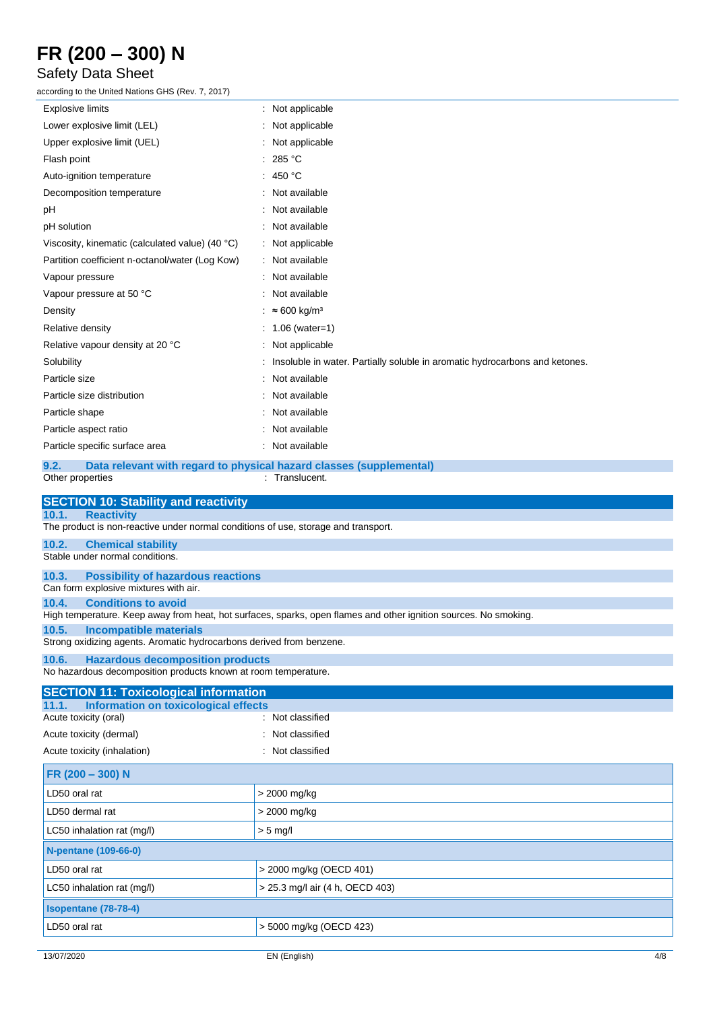### Safety Data Sheet

according to the United Nations GHS (Rev. 7, 2017)

| according to the United Nations GHS (Rev. 7, 2017)                                                                                                      |                                                                                       |  |
|---------------------------------------------------------------------------------------------------------------------------------------------------------|---------------------------------------------------------------------------------------|--|
| Explosive limits                                                                                                                                        | : Not applicable                                                                      |  |
| Lower explosive limit (LEL)                                                                                                                             | : Not applicable                                                                      |  |
| Upper explosive limit (UEL)                                                                                                                             | Not applicable                                                                        |  |
| Flash point                                                                                                                                             | 285 °C                                                                                |  |
| Auto-ignition temperature                                                                                                                               | : 450 $^{\circ}$ C                                                                    |  |
| Decomposition temperature                                                                                                                               | Not available                                                                         |  |
| рH                                                                                                                                                      | Not available                                                                         |  |
| pH solution                                                                                                                                             | : Not available                                                                       |  |
| Viscosity, kinematic (calculated value) (40 °C)                                                                                                         | : Not applicable                                                                      |  |
| Partition coefficient n-octanol/water (Log Kow)                                                                                                         | : Not available                                                                       |  |
| Vapour pressure                                                                                                                                         | : Not available                                                                       |  |
| Vapour pressure at 50 °C                                                                                                                                | : Not available                                                                       |  |
| Density                                                                                                                                                 | ≈ 600 kg/m <sup>3</sup>                                                               |  |
| Relative density                                                                                                                                        | : 1.06 (water=1)                                                                      |  |
| Relative vapour density at 20 °C                                                                                                                        | : Not applicable                                                                      |  |
| Solubility                                                                                                                                              | Insoluble in water. Partially soluble in aromatic hydrocarbons and ketones.           |  |
| Particle size                                                                                                                                           | Not available                                                                         |  |
| Particle size distribution                                                                                                                              | Not available                                                                         |  |
| Particle shape                                                                                                                                          | Not available                                                                         |  |
| Particle aspect ratio                                                                                                                                   | Not available                                                                         |  |
| Particle specific surface area                                                                                                                          | : Not available                                                                       |  |
| 9.2.<br>Other properties                                                                                                                                | Data relevant with regard to physical hazard classes (supplemental)<br>: Translucent. |  |
| <b>SECTION 10: Stability and reactivity</b>                                                                                                             |                                                                                       |  |
| 10.1.<br><b>Reactivity</b>                                                                                                                              |                                                                                       |  |
| The product is non-reactive under normal conditions of use, storage and transport.<br>10.2.                                                             |                                                                                       |  |
| <b>Chemical stability</b><br>Stable under normal conditions.                                                                                            |                                                                                       |  |
| 10.3.<br><b>Possibility of hazardous reactions</b><br>Can form explosive mixtures with air.                                                             |                                                                                       |  |
| 10.4.<br><b>Conditions to avoid</b><br>High temperature. Keep away from heat, hot surfaces, sparks, open flames and other ignition sources. No smoking. |                                                                                       |  |
| 10.5.<br><b>Incompatible materials</b>                                                                                                                  |                                                                                       |  |
| Strong oxidizing agents. Aromatic hydrocarbons derived from benzene.                                                                                    |                                                                                       |  |
| 10.6.<br><b>Hazardous decomposition products</b><br>No hazardous decomposition products known at room temperature.                                      |                                                                                       |  |
| <b>SECTION 11: Toxicological information</b>                                                                                                            |                                                                                       |  |
| <b>Information on toxicological effects</b><br>11.1.<br>Acute toxicity (oral)                                                                           | : Not classified                                                                      |  |
| Acute toxicity (dermal)                                                                                                                                 | Not classified                                                                        |  |
| Acute toxicity (inhalation)                                                                                                                             | : Not classified                                                                      |  |
| FR (200 - 300) N                                                                                                                                        |                                                                                       |  |
| LD50 oral rat                                                                                                                                           | > 2000 mg/kg                                                                          |  |
| LD50 dermal rat                                                                                                                                         | > 2000 mg/kg                                                                          |  |
|                                                                                                                                                         |                                                                                       |  |
| LC50 inhalation rat (mg/l)                                                                                                                              | $> 5$ mg/l                                                                            |  |
| <b>N-pentane (109-66-0)</b>                                                                                                                             |                                                                                       |  |
| LD50 oral rat                                                                                                                                           | > 2000 mg/kg (OECD 401)                                                               |  |
| LC50 inhalation rat (mg/l)                                                                                                                              | > 25.3 mg/l air (4 h, OECD 403)                                                       |  |
| Isopentane (78-78-4)                                                                                                                                    |                                                                                       |  |

LD50 oral rat  $\vert$  > 5000 mg/kg (OECD 423)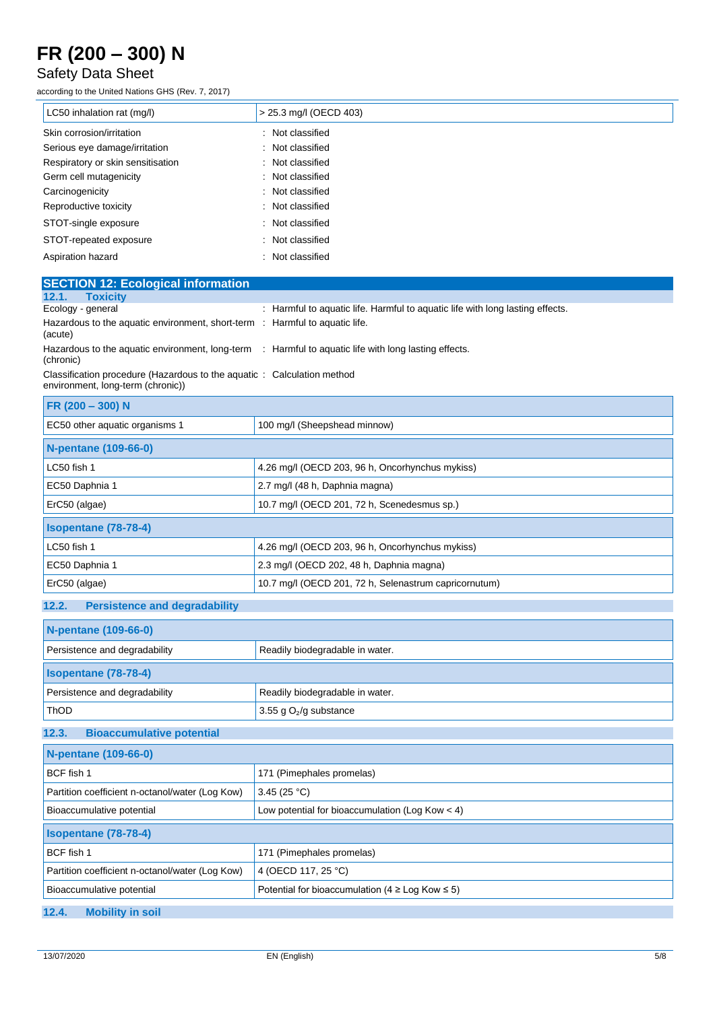### Safety Data Sheet

according to the United Nations GHS (Rev. 7, 2017)

| LC50 inhalation rat (mg/l)        | > 25.3 mg/l (OECD 403) |
|-----------------------------------|------------------------|
| Skin corrosion/irritation         | : Not classified       |
| Serious eye damage/irritation     | : Not classified       |
| Respiratory or skin sensitisation | : Not classified       |
| Germ cell mutagenicity            | : Not classified       |
| Carcinogenicity                   | : Not classified       |
| Reproductive toxicity             | : Not classified       |
| STOT-single exposure              | : Not classified       |
| STOT-repeated exposure            | : Not classified       |
| Aspiration hazard                 | : Not classified       |

| <b>SECTION 12: Ecological information</b>                                                                   |                                                                                                      |  |
|-------------------------------------------------------------------------------------------------------------|------------------------------------------------------------------------------------------------------|--|
| <b>Toxicity</b><br>12.1.                                                                                    |                                                                                                      |  |
| Ecology - general                                                                                           | : Harmful to aquatic life. Harmful to aquatic life with long lasting effects.                        |  |
| Hazardous to the aquatic environment, short-term : Harmful to aquatic life.<br>(acute)                      |                                                                                                      |  |
| (chronic)                                                                                                   | Hazardous to the aquatic environment, long-term : Harmful to aquatic life with long lasting effects. |  |
| Classification procedure (Hazardous to the aquatic: Calculation method<br>environment, long-term (chronic)) |                                                                                                      |  |
| FR (200 - 300) N                                                                                            |                                                                                                      |  |
| EC50 other aquatic organisms 1                                                                              | 100 mg/l (Sheepshead minnow)                                                                         |  |
| <b>N-pentane (109-66-0)</b>                                                                                 |                                                                                                      |  |
| LC50 fish 1                                                                                                 | 4.26 mg/l (OECD 203, 96 h, Oncorhynchus mykiss)                                                      |  |
| EC50 Daphnia 1                                                                                              | 2.7 mg/l (48 h, Daphnia magna)                                                                       |  |
| ErC50 (algae)                                                                                               | 10.7 mg/l (OECD 201, 72 h, Scenedesmus sp.)                                                          |  |
| <b>Isopentane (78-78-4)</b>                                                                                 |                                                                                                      |  |
| LC50 fish 1                                                                                                 | 4.26 mg/l (OECD 203, 96 h, Oncorhynchus mykiss)                                                      |  |
| EC50 Daphnia 1                                                                                              | 2.3 mg/l (OECD 202, 48 h, Daphnia magna)                                                             |  |
| ErC50 (algae)                                                                                               | 10.7 mg/l (OECD 201, 72 h, Selenastrum capricornutum)                                                |  |
| 12.2.<br><b>Persistence and degradability</b>                                                               |                                                                                                      |  |
| <b>N-pentane (109-66-0)</b>                                                                                 |                                                                                                      |  |
| Persistence and degradability                                                                               | Readily biodegradable in water.                                                                      |  |
| <b>Isopentane (78-78-4)</b>                                                                                 |                                                                                                      |  |
| Persistence and degradability                                                                               | Readily biodegradable in water.                                                                      |  |
| ThOD                                                                                                        | 3.55 g $O_2$ /g substance                                                                            |  |
| <b>Bioaccumulative potential</b><br>12.3.                                                                   |                                                                                                      |  |
| <b>N-pentane (109-66-0)</b>                                                                                 |                                                                                                      |  |
| BCF fish 1                                                                                                  | 171 (Pimephales promelas)                                                                            |  |
| Partition coefficient n-octanol/water (Log Kow)                                                             | 3.45 $(25 °C)$                                                                                       |  |
| Bioaccumulative potential                                                                                   | Low potential for bioaccumulation (Log Kow $<$ 4)                                                    |  |
| <b>Isopentane (78-78-4)</b>                                                                                 |                                                                                                      |  |
| BCF fish 1                                                                                                  | 171 (Pimephales promelas)                                                                            |  |
| Partition coefficient n-octanol/water (Log Kow)                                                             | 4 (OECD 117, 25 °C)                                                                                  |  |
| Bioaccumulative potential                                                                                   | Potential for bioaccumulation ( $4 \geq$ Log Kow $\leq 5$ )                                          |  |

**12.4. Mobility in soil**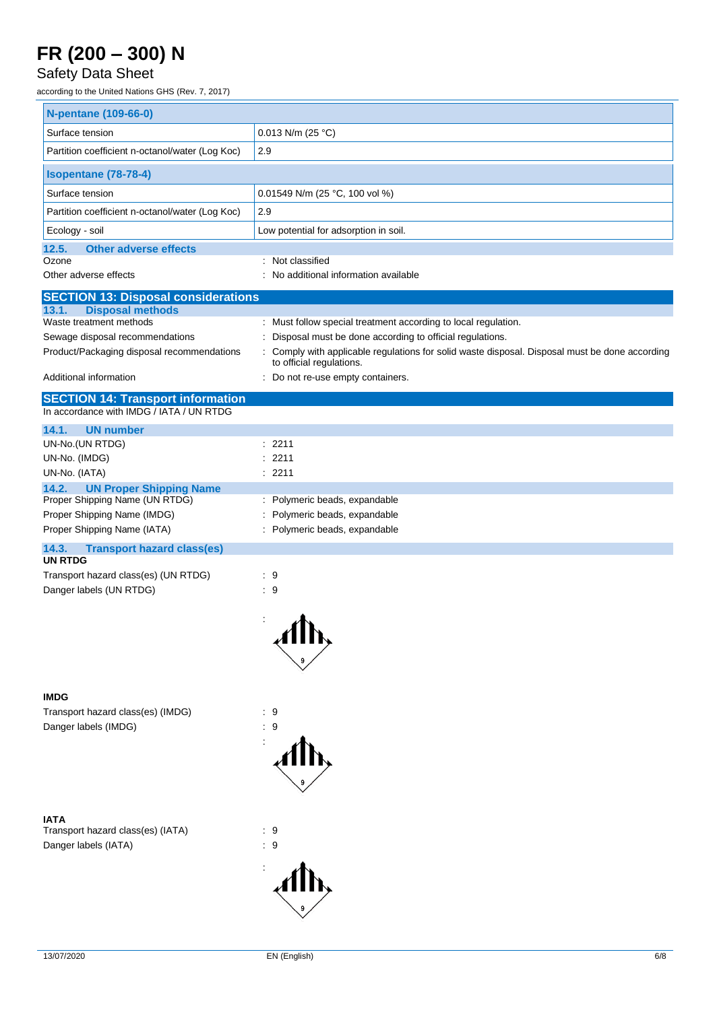### Safety Data Sheet

according to the United Nations GHS (Rev. 7, 2017)

| <b>N-pentane (109-66-0)</b>                                                    |                                                                                                                            |  |
|--------------------------------------------------------------------------------|----------------------------------------------------------------------------------------------------------------------------|--|
| Surface tension                                                                | $0.013$ N/m (25 °C)                                                                                                        |  |
| Partition coefficient n-octanol/water (Log Koc)                                | 2.9                                                                                                                        |  |
| <b>Isopentane (78-78-4)</b>                                                    |                                                                                                                            |  |
| Surface tension                                                                | 0.01549 N/m (25 °C, 100 vol %)                                                                                             |  |
| Partition coefficient n-octanol/water (Log Koc)                                | 2.9                                                                                                                        |  |
| Ecology - soil                                                                 | Low potential for adsorption in soil.                                                                                      |  |
| <b>Other adverse effects</b><br>12.5.                                          |                                                                                                                            |  |
| Ozone<br>Other adverse effects                                                 | : Not classified<br>: No additional information available                                                                  |  |
|                                                                                |                                                                                                                            |  |
| <b>SECTION 13: Disposal considerations</b><br><b>Disposal methods</b><br>13.1. |                                                                                                                            |  |
| Waste treatment methods                                                        | : Must follow special treatment according to local regulation.                                                             |  |
| Sewage disposal recommendations                                                | Disposal must be done according to official regulations.                                                                   |  |
| Product/Packaging disposal recommendations                                     | : Comply with applicable regulations for solid waste disposal. Disposal must be done according<br>to official regulations. |  |
| Additional information                                                         | : Do not re-use empty containers.                                                                                          |  |
| <b>SECTION 14: Transport information</b>                                       |                                                                                                                            |  |
| In accordance with IMDG / IATA / UN RTDG                                       |                                                                                                                            |  |
| <b>UN number</b><br>14.1.                                                      |                                                                                                                            |  |
| UN-No.(UN RTDG)                                                                | : 2211                                                                                                                     |  |
| UN-No. (IMDG)                                                                  | : 2211                                                                                                                     |  |
| UN-No. (IATA)<br>14.2.<br><b>UN Proper Shipping Name</b>                       | : 2211                                                                                                                     |  |
| Proper Shipping Name (UN RTDG)                                                 | : Polymeric beads, expandable                                                                                              |  |
| Proper Shipping Name (IMDG)                                                    | Polymeric beads, expandable                                                                                                |  |
| Proper Shipping Name (IATA)                                                    | : Polymeric beads, expandable                                                                                              |  |
| 14.3.<br><b>Transport hazard class(es)</b><br><b>UN RTDG</b>                   |                                                                                                                            |  |
| Transport hazard class(es) (UN RTDG)                                           | : 9                                                                                                                        |  |
| Danger labels (UN RTDG)                                                        | : 9                                                                                                                        |  |
|                                                                                |                                                                                                                            |  |
|                                                                                |                                                                                                                            |  |
|                                                                                |                                                                                                                            |  |
|                                                                                |                                                                                                                            |  |
|                                                                                |                                                                                                                            |  |
| <b>IMDG</b>                                                                    |                                                                                                                            |  |
| Transport hazard class(es) (IMDG)                                              | : 9                                                                                                                        |  |
| Danger labels (IMDG)                                                           | : 9                                                                                                                        |  |
|                                                                                |                                                                                                                            |  |
|                                                                                |                                                                                                                            |  |
|                                                                                |                                                                                                                            |  |
|                                                                                |                                                                                                                            |  |
| <b>IATA</b>                                                                    |                                                                                                                            |  |
| Transport hazard class(es) (IATA)                                              | $\cdot$ 9                                                                                                                  |  |
| Danger labels (IATA)                                                           | : 9                                                                                                                        |  |
|                                                                                |                                                                                                                            |  |
|                                                                                |                                                                                                                            |  |
|                                                                                |                                                                                                                            |  |
|                                                                                |                                                                                                                            |  |
|                                                                                |                                                                                                                            |  |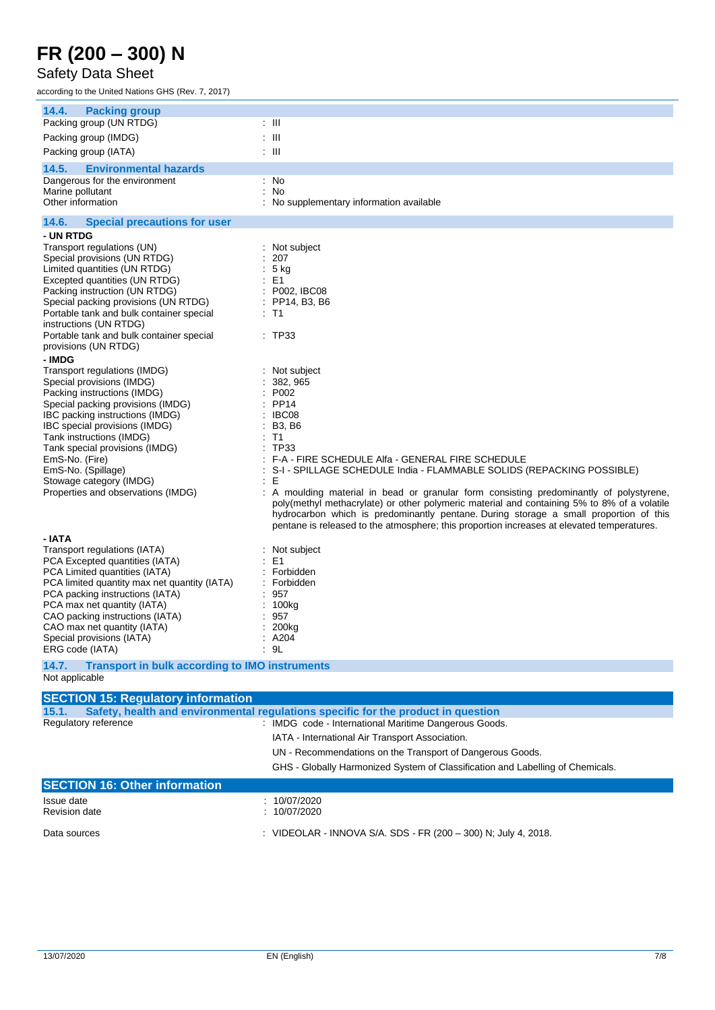#### Safety Data Sheet

according to the United Nations GHS (Rev. 7, 2017)

| 14.4.<br><b>Packing group</b><br>Packing group (UN RTDG)                      | : III                                                                                                                                                                               |
|-------------------------------------------------------------------------------|-------------------------------------------------------------------------------------------------------------------------------------------------------------------------------------|
| Packing group (IMDG)                                                          | : 111                                                                                                                                                                               |
| Packing group (IATA)                                                          | : III                                                                                                                                                                               |
| 14.5.<br><b>Environmental hazards</b>                                         |                                                                                                                                                                                     |
| Dangerous for the environment                                                 | : No                                                                                                                                                                                |
| Marine pollutant<br>Other information                                         | : No<br>No supplementary information available                                                                                                                                      |
|                                                                               |                                                                                                                                                                                     |
| 14.6.<br><b>Special precautions for user</b><br>- UN RTDG                     |                                                                                                                                                                                     |
| Transport regulations (UN)                                                    | : Not subject                                                                                                                                                                       |
| Special provisions (UN RTDG)                                                  | 207                                                                                                                                                                                 |
| Limited quantities (UN RTDG)                                                  | 5 kg                                                                                                                                                                                |
| Excepted quantities (UN RTDG)<br>Packing instruction (UN RTDG)                | : E1<br>: P002, IBC08                                                                                                                                                               |
| Special packing provisions (UN RTDG)                                          | PP14, B3, B6                                                                                                                                                                        |
| Portable tank and bulk container special                                      | : T1                                                                                                                                                                                |
| instructions (UN RTDG)<br>Portable tank and bulk container special            | : TP33                                                                                                                                                                              |
| provisions (UN RTDG)                                                          |                                                                                                                                                                                     |
| - IMDG                                                                        |                                                                                                                                                                                     |
| Transport regulations (IMDG)                                                  | : Not subject                                                                                                                                                                       |
| Special provisions (IMDG)<br>Packing instructions (IMDG)                      | 382, 965<br>P002                                                                                                                                                                    |
| Special packing provisions (IMDG)                                             | <b>PP14</b>                                                                                                                                                                         |
| IBC packing instructions (IMDG)                                               | IBC08                                                                                                                                                                               |
| IBC special provisions (IMDG)<br>Tank instructions (IMDG)                     | <b>B3, B6</b><br>T <sub>1</sub>                                                                                                                                                     |
| Tank special provisions (IMDG)                                                | <b>TP33</b>                                                                                                                                                                         |
| EmS-No. (Fire)                                                                | F-A - FIRE SCHEDULE Alfa - GENERAL FIRE SCHEDULE                                                                                                                                    |
| EmS-No. (Spillage)<br>Stowage category (IMDG)                                 | S-I - SPILLAGE SCHEDULE India - FLAMMABLE SOLIDS (REPACKING POSSIBLE)<br>÷<br>Е<br>÷                                                                                                |
| Properties and observations (IMDG)                                            | A moulding material in bead or granular form consisting predominantly of polystyrene,                                                                                               |
|                                                                               | poly(methyl methacrylate) or other polymeric material and containing 5% to 8% of a volatile                                                                                         |
|                                                                               | hydrocarbon which is predominantly pentane. During storage a small proportion of this<br>pentane is released to the atmosphere; this proportion increases at elevated temperatures. |
| - IATA                                                                        |                                                                                                                                                                                     |
| Transport regulations (IATA)                                                  | : Not subject                                                                                                                                                                       |
| PCA Excepted quantities (IATA)                                                | E <sub>1</sub>                                                                                                                                                                      |
| PCA Limited quantities (IATA)<br>PCA limited quantity max net quantity (IATA) | Forbidden<br>Forbidden                                                                                                                                                              |
| PCA packing instructions (IATA)                                               | 957                                                                                                                                                                                 |
| PCA max net quantity (IATA)                                                   | 100kg                                                                                                                                                                               |
| CAO packing instructions (IATA)<br>CAO max net quantity (IATA)                | 957<br>200 <sub>kg</sub>                                                                                                                                                            |
| Special provisions (IATA)                                                     | . A204                                                                                                                                                                              |
| ERG code (IATA)                                                               | : 9L                                                                                                                                                                                |
| 14.7.<br><b>Transport in bulk according to IMO instruments</b>                |                                                                                                                                                                                     |
| Not applicable                                                                |                                                                                                                                                                                     |
| <b>SECTION 15: Regulatory information</b>                                     |                                                                                                                                                                                     |
| 15.1.                                                                         | Safety, health and environmental regulations specific for the product in question<br>: IMDG code - International Maritime Dangerous Goods.                                          |
| Regulatory reference                                                          |                                                                                                                                                                                     |
|                                                                               | IATA - International Air Transport Association.                                                                                                                                     |
|                                                                               | UN - Recommendations on the Transport of Dangerous Goods.                                                                                                                           |
|                                                                               | GHS - Globally Harmonized System of Classification and Labelling of Chemicals.                                                                                                      |
| <b>SECTION 16: Other information</b>                                          |                                                                                                                                                                                     |
| Issue date                                                                    | : 10/07/2020                                                                                                                                                                        |

Revision date : 10/07/2020

Data sources : VIDEOLAR - INNOVA S/A. SDS - FR (200 – 300) N; July 4, 2018.